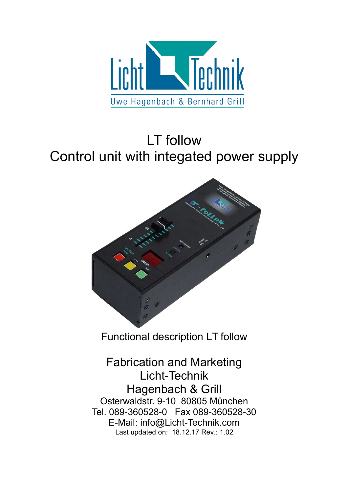

# LT follow Control unit with integated power supply



Functional description LT follow

Fabrication and Marketing Licht-Technik Hagenbach & Grill Osterwaldstr. 9-10 80805 München Tel. 089-360528-0 Fax 089-360528-30 E-Mail: info@Licht-Technik.com Last updated on: 18.12.17 Rev.: 1.02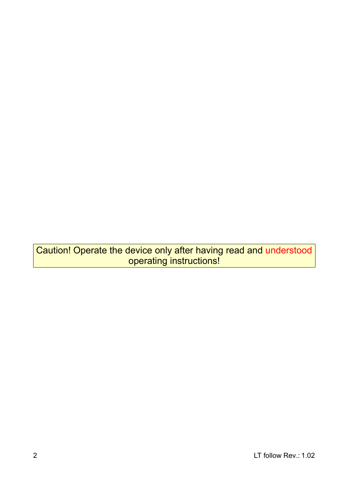Caution! Operate the device only after having read and understood operating instructions!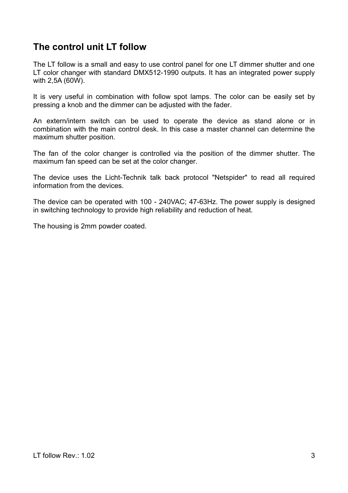### **The control unit LT follow**

The LT follow is a small and easy to use control panel for one LT dimmer shutter and one LT color changer with standard DMX512-1990 outputs. It has an integrated power supply with 2,5A (60W).

It is very useful in combination with follow spot lamps. The color can be easily set by pressing a knob and the dimmer can be adjusted with the fader.

An extern/intern switch can be used to operate the device as stand alone or in combination with the main control desk. In this case a master channel can determine the maximum shutter position.

The fan of the color changer is controlled via the position of the dimmer shutter. The maximum fan speed can be set at the color changer.

The device uses the Licht-Technik talk back protocol "Netspider" to read all required information from the devices.

The device can be operated with 100 - 240VAC; 47-63Hz. The power supply is designed in switching technology to provide high reliability and reduction of heat.

The housing is 2mm powder coated.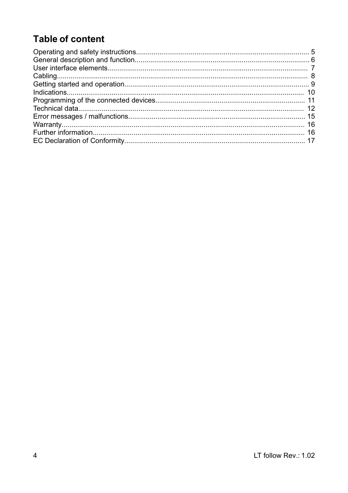# **Table of content**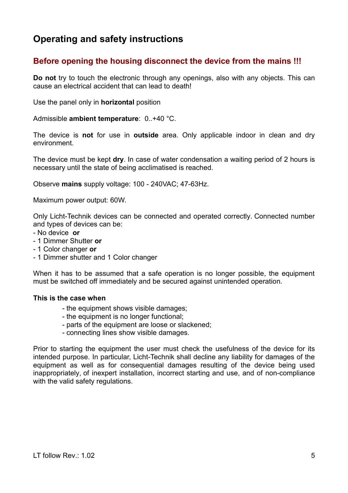### **Operating and safety instructions**

### **Before opening the housing disconnect the device from the mains !!!**

**Do not** try to touch the electronic through any openings, also with any objects. This can cause an electrical accident that can lead to death!

Use the panel only in **horizontal** position

Admissible **ambient temperature**: 0..+40 °C.

The device is **not** for use in **outside** area. Only applicable indoor in clean and dry environment.

The device must be kept **dry**. In case of water condensation a waiting period of 2 hours is necessary until the state of being acclimatised is reached.

Observe **mains** supply voltage: 100 - 240VAC; 47-63Hz.

Maximum power output: 60W.

Only Licht-Technik devices can be connected and operated correctly. Connected number and types of devices can be:

- No device **or**
- 1 Dimmer Shutter **or**
- 1 Color changer **or**
- 1 Dimmer shutter and 1 Color changer

When it has to be assumed that a safe operation is no longer possible, the equipment must be switched off immediately and be secured against unintended operation.

#### **This is the case when**

- the equipment shows visible damages;
- the equipment is no longer functional;
- parts of the equipment are loose or slackened;
- connecting lines show visible damages.

Prior to starting the equipment the user must check the usefulness of the device for its intended purpose. In particular, Licht-Technik shall decline any liability for damages of the equipment as well as for consequential damages resulting of the device being used inappropriately, of inexpert installation, incorrect starting and use, and of non-compliance with the valid safety regulations.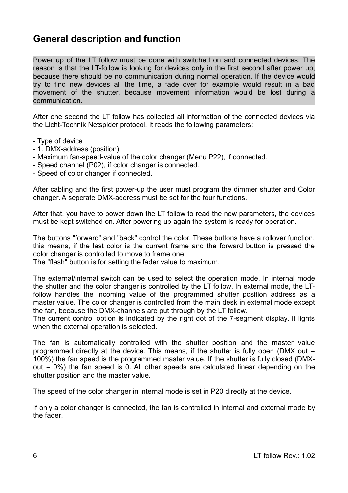### **General description and function**

Power up of the LT follow must be done with switched on and connected devices. The reason is that the LT-follow is looking for devices only in the first second after power up, because there should be no communication during normal operation. If the device would try to find new devices all the time, a fade over for example would result in a bad movement of the shutter, because movement information would be lost during a communication.

After one second the LT follow has collected all information of the connected devices via the Licht-Technik Netspider protocol. It reads the following parameters:

- Type of device
- 1. DMX-address (position)
- Maximum fan-speed-value of the color changer (Menu P22), if connected.
- Speed channel (P02), if color changer is connected.
- Speed of color changer if connected.

After cabling and the first power-up the user must program the dimmer shutter and Color changer.A seperate DMX-address must be set for the four functions.

After that, you have to power down the LT follow to read the new parameters, the devices must be kept switched on. After powering up again the system is ready for operation.

The buttons "forward" and "back" control the color. These buttons have a rollover function, this means, if the last color is the current frame and the forward button is pressed the color changer is controlled to move to frame one.

The "flash" button is for setting the fader value to maximum.

The external/internal switch can be used to select the operation mode. In internal mode the shutter and the color changer is controlled by the LT follow. In external mode, the LTfollow handles the incoming value of the programmed shutter position address as a master value. The color changer is controlled from the main desk in external mode except the fan, because the DMX-channels are put through by the LT follow.

The current control option is indicated by the right dot of the 7-segment display. It lights when the external operation is selected.

The fan is automatically controlled with the shutter position and the master value programmed directly at the device. This means, if the shutter is fully open (DMX out = 100%) the fan speed is the programmed master value. If the shutter is fully closed (DMXout = 0%) the fan speed is 0. All other speeds are calculated linear depending on the shutter position and the master value.

The speed of the color changer in internal mode is set in P20 directly at the device.

If only a color changer is connected, the fan is controlled in internal and external mode by the fader.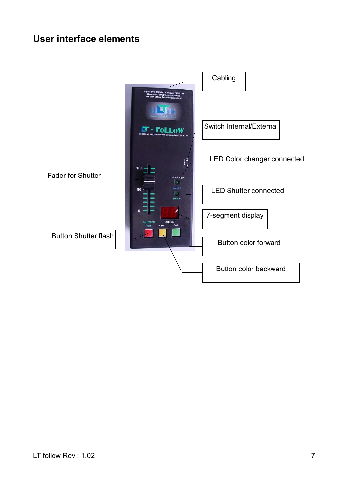# **User interface elements**

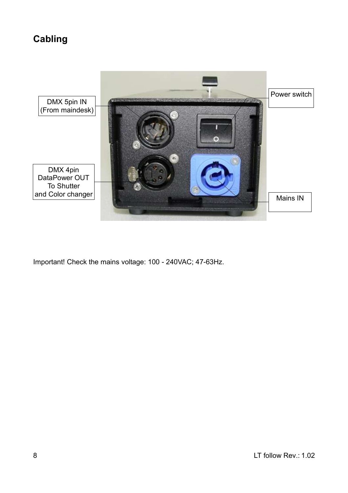# **Cabling**



Important! Check the mains voltage: 100 - 240VAC; 47-63Hz.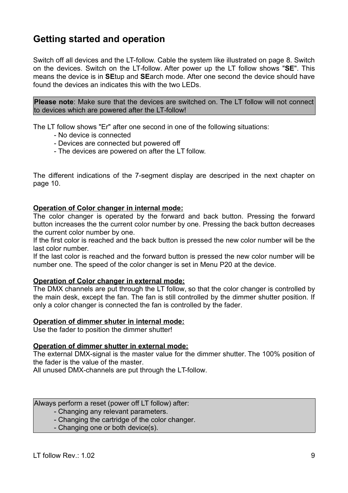### **Getting started and operation**

Switch off all devices and the LT-follow. Cable the system like illustrated on page 8. Switch on the devices. Switch on the LT-follow. After power up the LT follow shows "**SE**". This means the device is in **SE**tup and **SE**arch mode. After one second the device should have found the devices an indicates this with the two LEDs.

**Please note**: Make sure that the devices are switched on. The LT follow will not connect to devices which are powered after the LT-follow!

The LT follow shows "Er" after one second in one of the following situations:

- No device is connected
- Devices are connected but powered off
- The devices are powered on after the LT follow.

The different indications of the 7-segment display are descriped in the next chapter on page 10.

#### **Operation of Color changer in internal mode:**

The color changer is operated by the forward and back button. Pressing the forward button increases the the current color number by one. Pressing the back button decreases the current color number by one.

If the first color is reached and the back button is pressed the new color number will be the last color number.

If the last color is reached and the forward button is pressed the new color number will be number one. The speed of the color changer is set in Menu P20 at the device.

#### **Operation of Color changer in external mode:**

The DMX channels are put through the LT follow, so that the color changer is controlled by the main desk, except the fan. The fan is still controlled by the dimmer shutter position. If only a color changer is connected the fan is controlled by the fader.

#### **Operation of dimmer shuter in internal mode:**

Use the fader to position the dimmer shutter!

#### **Operation of dimmer shutter in external mode:**

The external DMX-signal is the master value for the dimmer shutter. The 100% position of the fader is the value of the master.

All unused DMX-channels are put through the LT-follow.

Always perform a reset (power off LT follow) after:

- Changing any relevant parameters.
- Changing the cartridge of the color changer.
- Changing one or both device(s).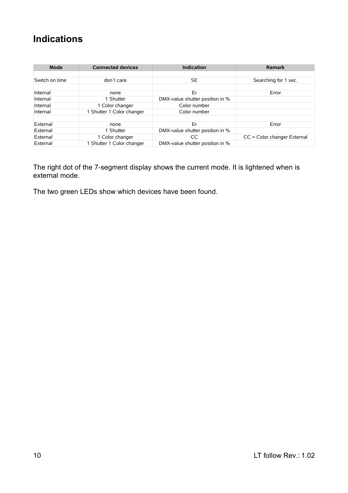# **Indications**

| Mode           | <b>Connected devices</b>  | <b>Indication</b>               | <b>Remark</b>               |
|----------------|---------------------------|---------------------------------|-----------------------------|
|                |                           |                                 |                             |
| Switch on time | don't care                | <b>SE</b>                       | Searching for 1 sec.        |
|                |                           |                                 |                             |
| Internal       | none                      | Er                              | Error                       |
| Internal       | Shutter                   | DMX-value shutter position in % |                             |
| Internal       | 1 Color changer           | Color number                    |                             |
| Internal       | 1 Shutter 1 Color changer | Color number                    |                             |
|                |                           |                                 |                             |
| External       | none                      | Er                              | Error                       |
| External       | Shutter                   | DMX-value shutter position in % |                             |
| External       | 1 Color changer           | <sub>CC</sub>                   | CC = Color changer External |
| External       | 1 Shutter 1 Color changer | DMX-value shutter position in % |                             |

The right dot of the 7-segment display shows the current mode. It is lightened when is external mode.

The two green LEDs show which devices have been found.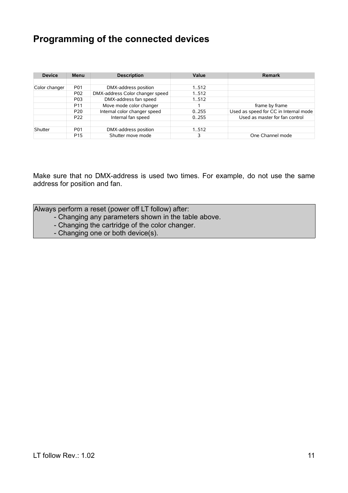### **Programming of the connected devices**

| <b>Device</b> | Menu            | <b>Description</b>              | Value | Remark                                |
|---------------|-----------------|---------------------------------|-------|---------------------------------------|
|               |                 |                                 |       |                                       |
| Color changer | P <sub>01</sub> | DMX-address position            | 1.512 |                                       |
|               | P <sub>02</sub> | DMX-address Color changer speed | 1.512 |                                       |
|               | P03             | DMX-address fan speed           | 1.512 |                                       |
|               | P <sub>11</sub> | Move mode color changer         |       | frame by frame                        |
|               | P <sub>20</sub> | Internal color changer speed    | 0.255 | Used as speed for CC in Internal mode |
|               | P <sub>22</sub> | Internal fan speed              | 0.255 | Used as master for fan control        |
|               |                 |                                 |       |                                       |
| Shutter       | P <sub>01</sub> | DMX-address position            | 1.512 |                                       |
|               | P <sub>15</sub> | Shutter move mode               | 3     | One Channel mode                      |

Make sure that no DMX-address is used two times. For example, do not use the same address for position and fan.

Always perform a reset (power off LT follow) after:

- Changing any parameters shown in the table above.
- Changing the cartridge of the color changer.
- Changing one or both device(s).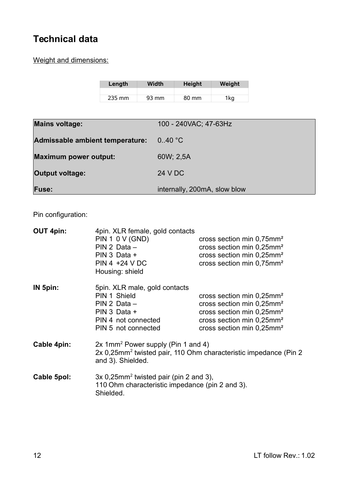# **Technical data**

Weight and dimensions:

| Length | <b>Width</b>    | <b>Height</b> | Weight |
|--------|-----------------|---------------|--------|
|        |                 |               |        |
| 235 mm | $93 \text{ mm}$ | 80 mm         | 1ka    |

| <b>Mains voltage:</b>           | 100 - 240VAC; 47-63Hz        |
|---------------------------------|------------------------------|
| Admissable ambient temperature: | 0.40 °C                      |
| <b>Maximum power output:</b>    | 60W; 2,5A                    |
| <b>Output voltage:</b>          | 24 V DC                      |
| <b>Fuse:</b>                    | internally, 200mA, slow blow |

Pin configuration:

| <b>OUT 4pin:</b> | 4pin. XLR female, gold contacts<br><b>PIN 1 0 V (GND)</b><br>$PIN 2 Data -$<br>PIN 3 Data $+$<br>$PIN 4 + 24 V DC$<br>Housing: shield                | cross section min $0.75$ mm <sup>2</sup><br>cross section min 0,25mm <sup>2</sup><br>cross section min 0,25mm <sup>2</sup><br>cross section min 0,75mm <sup>2</sup>                                       |
|------------------|------------------------------------------------------------------------------------------------------------------------------------------------------|-----------------------------------------------------------------------------------------------------------------------------------------------------------------------------------------------------------|
| IN 5pin:         | 5pin. XLR male, gold contacts<br>PIN 1 Shield<br>PIN 2 Data -<br>PIN 3 Data +<br>PIN 4 not connected<br>PIN 5 not connected                          | cross section min 0,25mm <sup>2</sup><br>cross section min 0,25mm <sup>2</sup><br>cross section min 0,25mm <sup>2</sup><br>cross section min 0,25mm <sup>2</sup><br>cross section min 0,25mm <sup>2</sup> |
| Cable 4pin:      | 2x 1mm <sup>2</sup> Power supply (Pin 1 and 4)<br>2x 0,25mm <sup>2</sup> twisted pair, 110 Ohm characteristic impedance (Pin 2)<br>and 3). Shielded. |                                                                                                                                                                                                           |
| Cable 5pol:      | $3x$ 0,25mm <sup>2</sup> twisted pair (pin 2 and 3),<br>110 Ohm characteristic impedance (pin 2 and 3).<br>Shielded.                                 |                                                                                                                                                                                                           |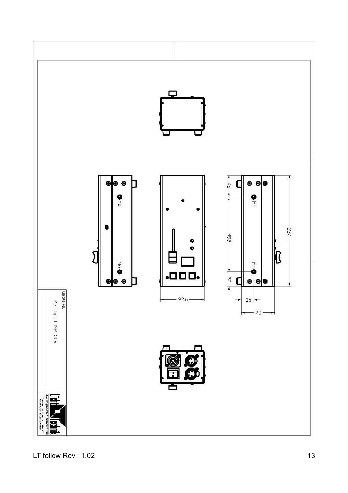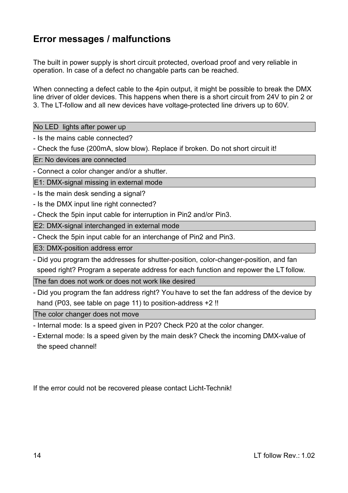### **Error messages / malfunctions**

The built in power supply is short circuit protected, overload proof and very reliable in operation. In case of a defect no changable parts can be reached.

When connecting a defect cable to the 4pin output, it might be possible to break the DMX line driver of older devices. This happens when there is a short circuit from 24V to pin 2 or 3. The LT-follow and all new devices have voltage-protected line drivers up to 60V.

No LED lights after power up

- Is the mains cable connected?

- Check the fuse (200mA, slow blow). Replace if broken. Do not short circuit it!

Er: No devices are connected

- Connect a color changer and/or a shutter.

E1: DMX-signal missing in external mode

- Is the main desk sending a signal?
- Is the DMX input line right connected?

- Check the 5pin input cable for interruption in Pin2 and/or Pin3.

E2: DMX-signal interchanged in external mode

- Check the 5pin input cable for an interchange of Pin2 and Pin3.

E3: DMX-position address error

- Did you program the addresses for shutter-position, color-changer-position, and fan speed right? Program a seperate address for each function and repower the LT follow.

The fan does not work or does not work like desired

- Did you program the fan address right? You have to set the fan address of the device by hand (P03, see table on page 11) to position-address +2 !!

The color changer does not move

- Internal mode: Is a speed given in P20? Check P20 at the color changer.

- External mode: Is a speed given by the main desk? Check the incoming DMX-value of the speed channel!

If the error could not be recovered please contact Licht-Technik!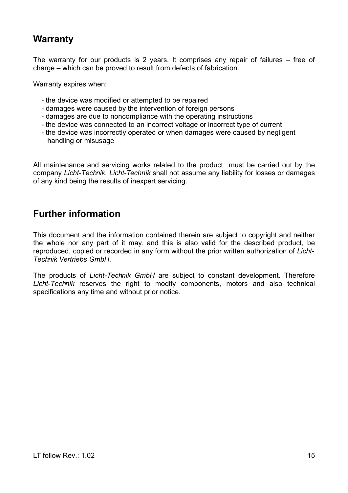### **Warranty**

The warranty for our products is 2 years. It comprises any repair of failures – free of charge – which can be proved to result from defects of fabrication.

Warranty expires when:

- the device was modified or attempted to be repaired
- damages were caused by the intervention of foreign persons
- damages are due to noncompliance with the operating instructions
- the device was connected to an incorrect voltage or incorrect type of current
- the device was incorrectly operated or when damages were caused by negligent handling or misusage

All maintenance and servicing works related to the product must be carried out by the company *Licht-Technik. Licht-Technik* shall not assume any liability for losses or damages of any kind being the results of inexpert servicing.

### **Further information**

This document and the information contained therein are subject to copyright and neither the whole nor any part of it may, and this is also valid for the described product, be reproduced, copied or recorded in any form without the prior written authorization of *Licht-Technik Vertriebs GmbH*.

The products of *Licht-Technik GmbH* are subject to constant development. Therefore *Licht-Technik* reserves the right to modify components, motors and also technical specifications any time and without prior notice.